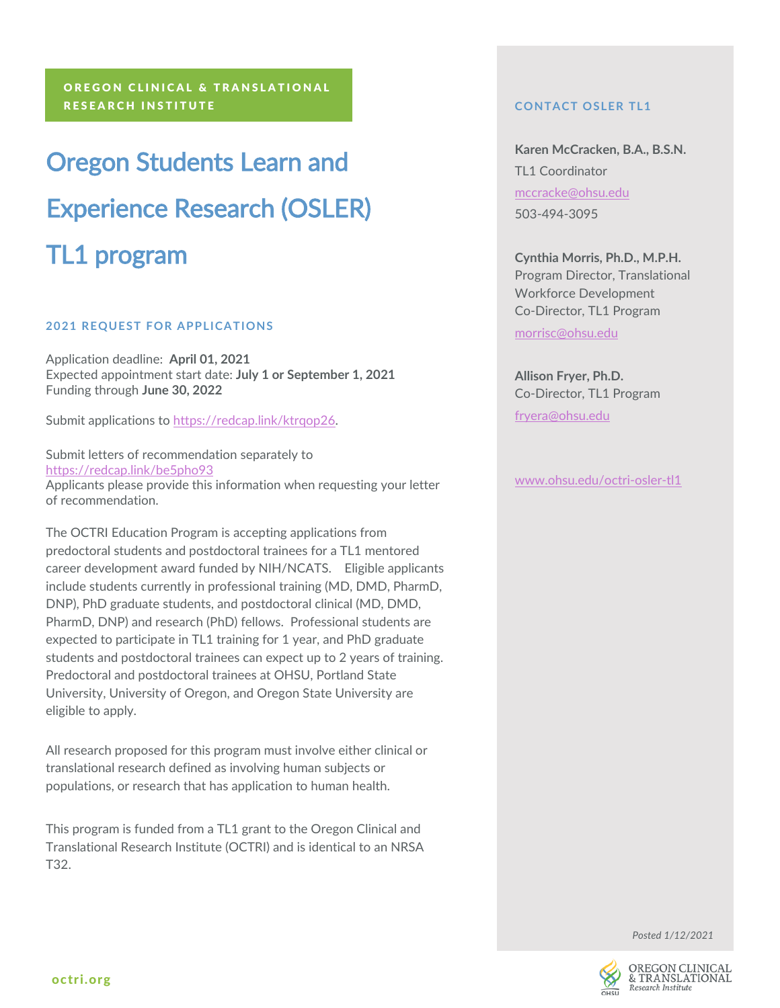# Oregon Students Learn and Experience Research (OSLER) TL1 program

## **2021 REQUEST FOR APPLICATIONS**

Application deadline: **April 01, 2021** Expected appointment start date: **July 1 or September 1, 2021** Funding through **June 30, 2022**

Submit applications to [https://redcap.link/ktrqop26.](https://redcap.link/ktrqop26)

Submit letters of recommendation separately to <https://redcap.link/be5pho93> Applicants please provide this information when requesting your letter of recommendation.

The OCTRI Education Program is accepting applications from predoctoral students and postdoctoral trainees for a TL1 mentored career development award funded by NIH/NCATS. Eligible applicants include students currently in professional training (MD, DMD, PharmD, DNP), PhD graduate students, and postdoctoral clinical (MD, DMD, PharmD, DNP) and research (PhD) fellows. Professional students are expected to participate in TL1 training for 1 year, and PhD graduate students and postdoctoral trainees can expect up to 2 years of training. Predoctoral and postdoctoral trainees at OHSU, Portland State University, University of Oregon, and Oregon State University are eligible to apply.

All research proposed for this program must involve either clinical or translational research defined as involving human subjects or populations, or research that has application to human health.

This program is funded from a TL1 grant to the Oregon Clinical and Translational Research Institute (OCTRI) and is identical to an NRSA T32.

# **CONTACT OSLER TL1**

**Karen McCracken, B.A., B.S.N.** TL1 Coordinator [mccracke@ohsu.edu](mailto:mccracke@ohsu.edu) 503-494-3095

**Cynthia Morris, Ph.D., M.P.H.** Program Director, Translational Workforce Development Co-Director, TL1 Program [morrisc@ohsu.edu](mailto:morrisc@ohsu.edu)

**Allison Fryer, Ph.D.** Co-Director, TL1 Program [fryera@ohsu.edu](mailto:fryera@ohsu.edu)

[www.ohsu.edu/octri-osler-tl1](http://www.ohsu.edu/octri-osler-tl1)

*Posted 1/12/2021*

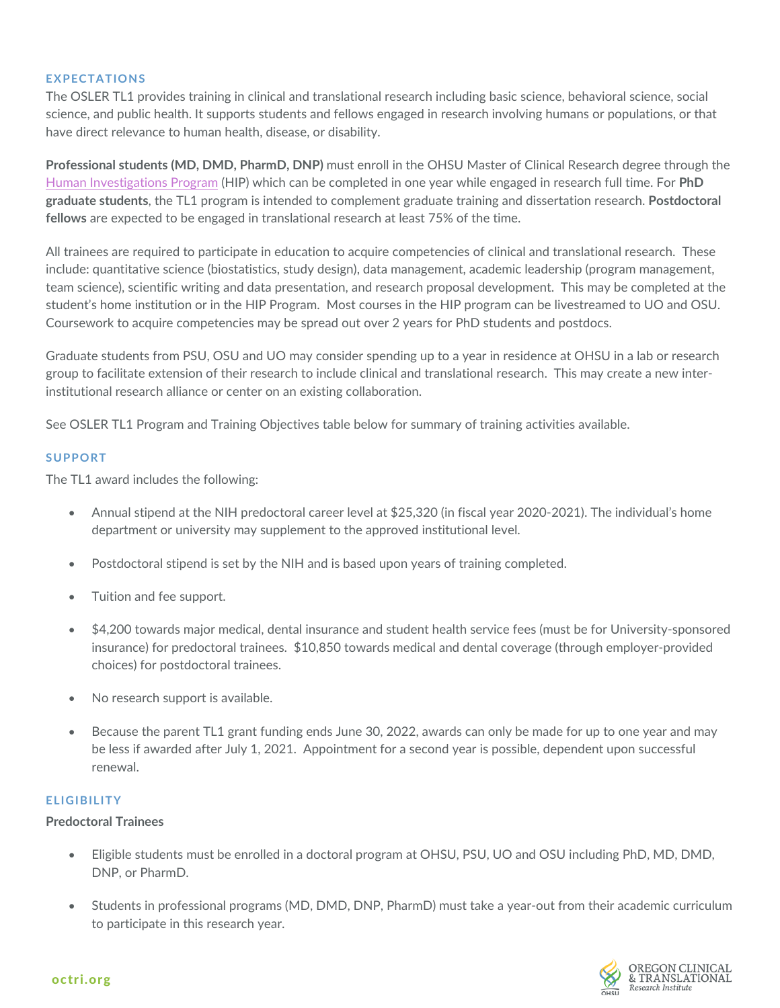#### **EXPECTATIONS**

The OSLER TL1 provides training in clinical and translational research including basic science, behavioral science, social science, and public health. It supports students and fellows engaged in research involving humans or populations, or that have direct relevance to human health, disease, or disability.

**Professional students (MD, DMD, PharmD, DNP)** must enroll in the OHSU Master of Clinical Research degree through the [Human Investigations Program](http://www.ohsu.edu/hip) (HIP) which can be completed in one year while engaged in research full time. For **PhD graduate students**, the TL1 program is intended to complement graduate training and dissertation research. **Postdoctoral fellows** are expected to be engaged in translational research at least 75% of the time.

All trainees are required to participate in education to acquire competencies of clinical and translational research. These include: quantitative science (biostatistics, study design), data management, academic leadership (program management, team science), scientific writing and data presentation, and research proposal development. This may be completed at the student's home institution or in the HIP Program. Most courses in the HIP program can be livestreamed to UO and OSU. Coursework to acquire competencies may be spread out over 2 years for PhD students and postdocs.

Graduate students from PSU, OSU and UO may consider spending up to a year in residence at OHSU in a lab or research group to facilitate extension of their research to include clinical and translational research. This may create a new interinstitutional research alliance or center on an existing collaboration.

See OSLER TL1 Program and Training Objectives table below for summary of training activities available.

#### **SUPPORT**

The TL1 award includes the following:

- Annual stipend at the NIH predoctoral career level at \$25,320 (in fiscal year 2020-2021). The individual's home department or university may supplement to the approved institutional level.
- Postdoctoral stipend is set by the NIH and is based upon years of training completed.
- Tuition and fee support.
- \$4,200 towards major medical, dental insurance and student health service fees (must be for University-sponsored insurance) for predoctoral trainees. \$10,850 towards medical and dental coverage (through employer-provided choices) for postdoctoral trainees.
- No research support is available.
- Because the parent TL1 grant funding ends June 30, 2022, awards can only be made for up to one year and may be less if awarded after July 1, 2021. Appointment for a second year is possible, dependent upon successful renewal.

## **ELIGIBILITY**

### **Predoctoral Trainees**

- Eligible students must be enrolled in a doctoral program at OHSU, PSU, UO and OSU including PhD, MD, DMD, DNP, or PharmD.
- Students in professional programs (MD, DMD, DNP, PharmD) must take a year-out from their academic curriculum to participate in this research year.

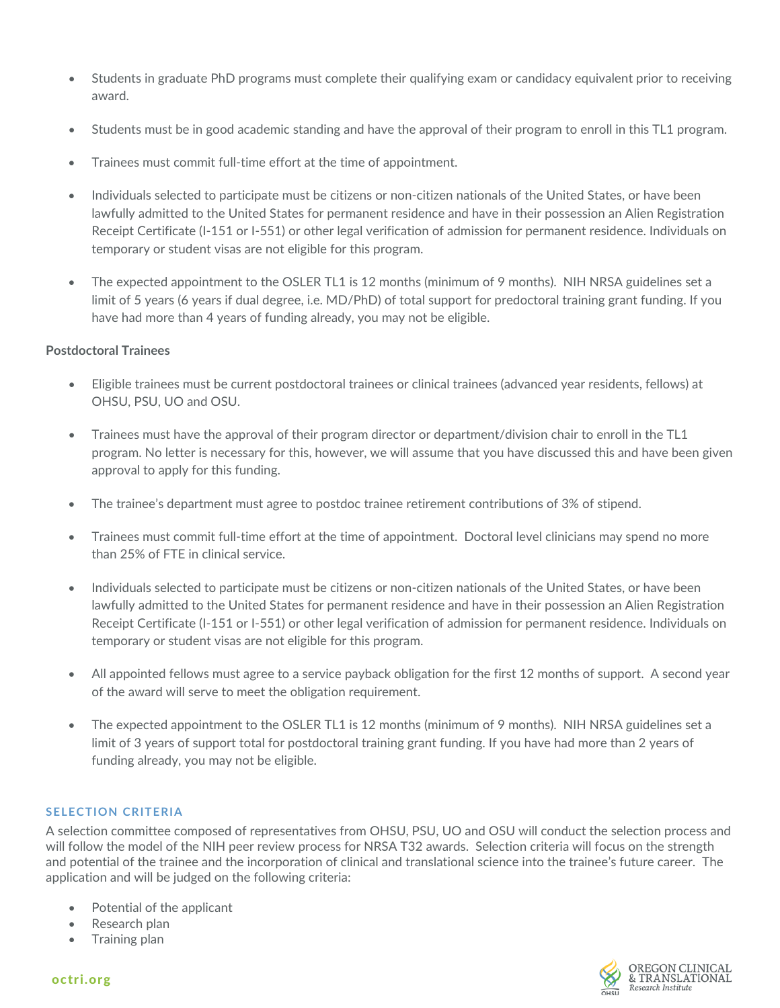- Students in graduate PhD programs must complete their qualifying exam or candidacy equivalent prior to receiving award.
- Students must be in good academic standing and have the approval of their program to enroll in this TL1 program.
- Trainees must commit full-time effort at the time of appointment.
- Individuals selected to participate must be citizens or non-citizen nationals of the United States, or have been lawfully admitted to the United States for permanent residence and have in their possession an Alien Registration Receipt Certificate (I-151 or I-551) or other legal verification of admission for permanent residence. Individuals on temporary or student visas are not eligible for this program.
- The expected appointment to the OSLER TL1 is 12 months (minimum of 9 months). NIH NRSA guidelines set a limit of 5 years (6 years if dual degree, i.e. MD/PhD) of total support for predoctoral training grant funding. If you have had more than 4 years of funding already, you may not be eligible.

## **Postdoctoral Trainees**

- Eligible trainees must be current postdoctoral trainees or clinical trainees (advanced year residents, fellows) at OHSU, PSU, UO and OSU.
- Trainees must have the approval of their program director or department/division chair to enroll in the TL1 program. No letter is necessary for this, however, we will assume that you have discussed this and have been given approval to apply for this funding.
- The trainee's department must agree to postdoc trainee retirement contributions of 3% of stipend.
- Trainees must commit full-time effort at the time of appointment. Doctoral level clinicians may spend no more than 25% of FTE in clinical service.
- Individuals selected to participate must be citizens or non-citizen nationals of the United States, or have been lawfully admitted to the United States for permanent residence and have in their possession an Alien Registration Receipt Certificate (I-151 or I-551) or other legal verification of admission for permanent residence. Individuals on temporary or student visas are not eligible for this program.
- All appointed fellows must agree to a service payback obligation for the first 12 months of support. A second year of the award will serve to meet the obligation requirement.
- The expected appointment to the OSLER TL1 is 12 months (minimum of 9 months). NIH NRSA guidelines set a limit of 3 years of support total for postdoctoral training grant funding. If you have had more than 2 years of funding already, you may not be eligible.

## **SELECTION CRITERIA**

A selection committee composed of representatives from OHSU, PSU, UO and OSU will conduct the selection process and will follow the model of the NIH peer review process for NRSA T32 awards. Selection criteria will focus on the strength and potential of the trainee and the incorporation of clinical and translational science into the trainee's future career. The application and will be judged on the following criteria:

- Potential of the applicant
- Research plan
- Training plan

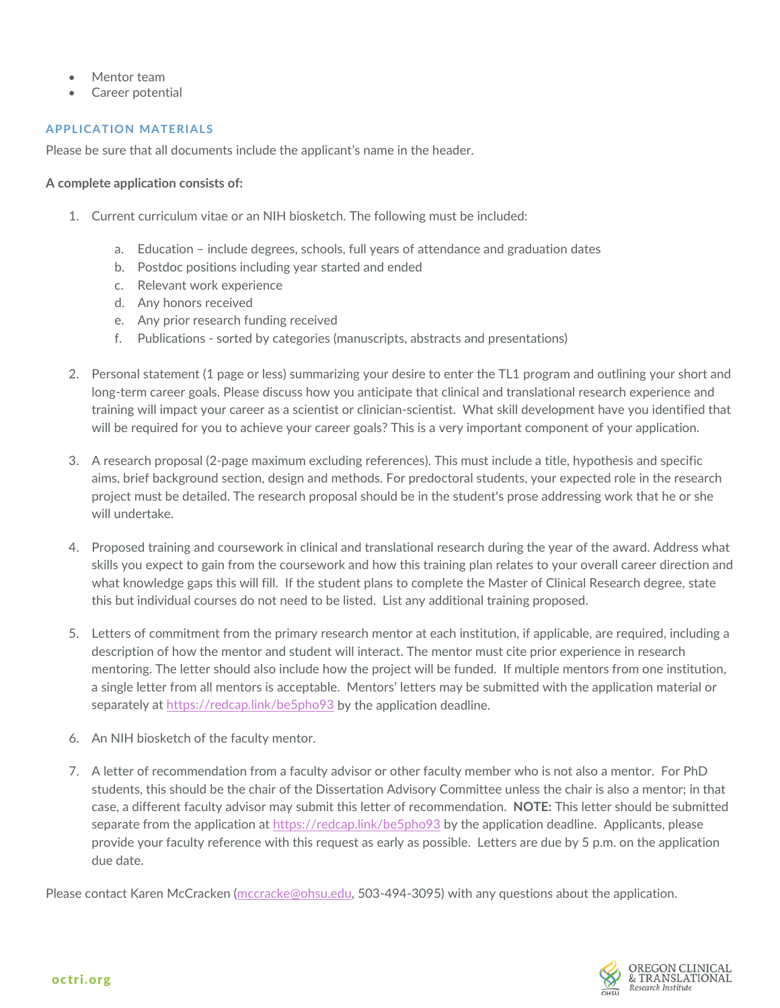- Mentor team
- Career potential

## **APPLICATION MATERIALS**

Please be sure that all documents include the applicant's name in the header.

## **A complete application consists of:**

- 1. Current curriculum vitae or an NIH biosketch. The following must be included:
	- a. Education include degrees, schools, full years of attendance and graduation dates
	- b. Postdoc positions including year started and ended
	- c. Relevant work experience
	- d. Any honors received
	- e. Any prior research funding received
	- f. Publications sorted by categories (manuscripts, abstracts and presentations)
- 2. Personal statement (1 page or less) summarizing your desire to enter the TL1 program and outlining your short and long-term career goals. Please discuss how you anticipate that clinical and translational research experience and training will impact your career as a scientist or clinician-scientist. What skill development have you identified that will be required for you to achieve your career goals? This is a very important component of your application.
- 3. A research proposal (2-page maximum excluding references). This must include a title, hypothesis and specific aims, brief background section, design and methods. For predoctoral students, your expected role in the research project must be detailed. The research proposal should be in the student's prose addressing work that he or she will undertake.
- 4. Proposed training and coursework in clinical and translational research during the year of the award. Address what skills you expect to gain from the coursework and how this training plan relates to your overall career direction and what knowledge gaps this will fill. If the student plans to complete the Master of Clinical Research degree, state this but individual courses do not need to be listed. List any additional training proposed.
- 5. Letters of commitment from the primary research mentor at each institution, if applicable, are required, including a description of how the mentor and student will interact. The mentor must cite prior experience in research mentoring. The letter should also include how the project will be funded. If multiple mentors from one institution, a single letter from all mentors is acceptable. Mentors' letters may be submitted with the application material or separately at<https://redcap.link/be5pho93> by the application deadline.
- 6. An NIH biosketch of the faculty mentor.
- 7. A letter of recommendation from a faculty advisor or other faculty member who is not also a mentor. For PhD students, this should be the chair of the Dissertation Advisory Committee unless the chair is also a mentor; in that case, a different faculty advisor may submit this letter of recommendation. **NOTE:** This letter should be submitted separate from the application at <https://redcap.link/be5pho93> by the application deadline. Applicants, please provide your faculty reference with this request as early as possible. Letters are due by 5 p.m. on the application due date.

Please contact Karen McCracken [\(mccracke@ohsu.edu,](mailto:mccracke@ohsu.edu) 503-494-3095) with any questions about the application.